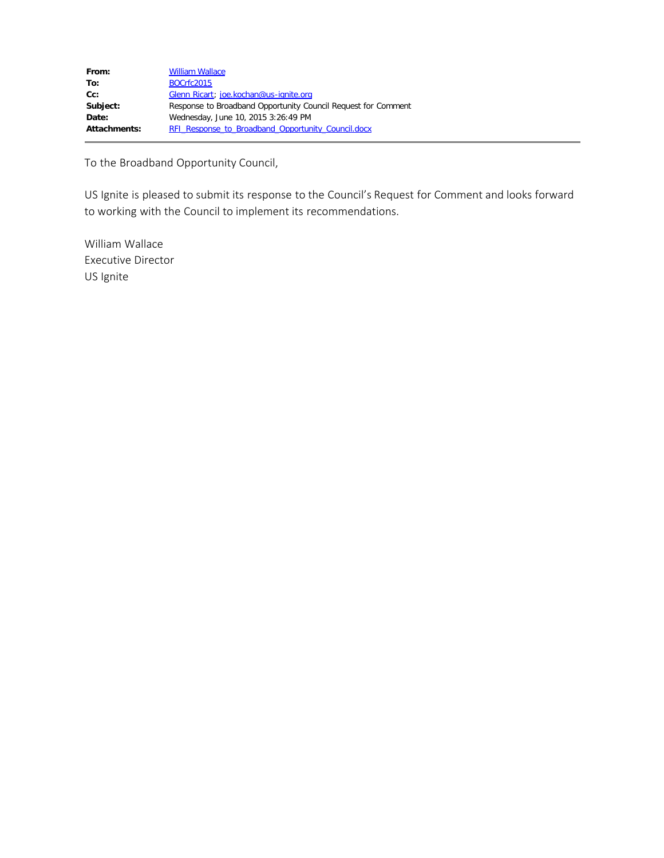| From:        | <b>William Wallace</b>                                        |
|--------------|---------------------------------------------------------------|
| To:          | <b>BOCrfc2015</b>                                             |
| Cc:          | Glenn Ricart; joe.kochan@us-ignite.org                        |
| Subject:     | Response to Broadband Opportunity Council Request for Comment |
| Date:        | Wednesday, June 10, 2015 3:26:49 PM                           |
| Attachments: | <b>RFI Response to Broadband Opportunity Council.docx</b>     |

To the Broadband Opportunity Council,

US Ignite is pleased to submit its response to the Council's Request for Comment and looks forward to working with the Council to implement its recommendations.

William Wallace Executive Director US Ignite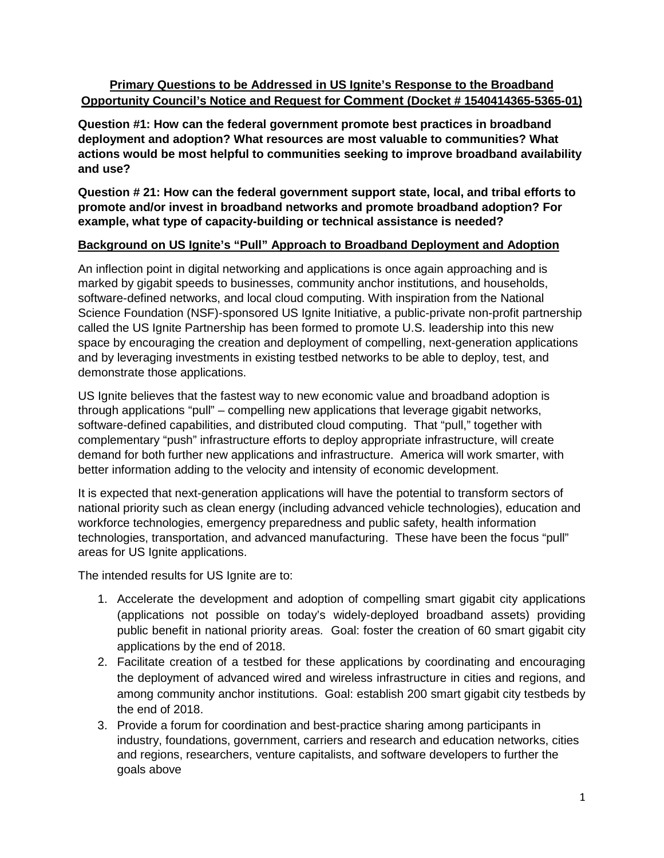# **Primary Questions to be Addressed in US Ignite's Response to the Broadband Opportunity Council's Notice and Request for Comment (Docket # 1540414365-5365-01)**

**Question #1: How can the federal government promote best practices in broadband deployment and adoption? What resources are most valuable to communities? What actions would be most helpful to communities seeking to improve broadband availability and use?**

**Question # 21: How can the federal government support state, local, and tribal efforts to promote and/or invest in broadband networks and promote broadband adoption? For example, what type of capacity-building or technical assistance is needed?**

# **Background on US Ignite's "Pull" Approach to Broadband Deployment and Adoption**

An inflection point in digital networking and applications is once again approaching and is marked by gigabit speeds to businesses, community anchor institutions, and households, software-defined networks, and local cloud computing. With inspiration from the National Science Foundation (NSF)-sponsored US Ignite Initiative, a public-private non-profit partnership called the US Ignite Partnership has been formed to promote U.S. leadership into this new space by encouraging the creation and deployment of compelling, next-generation applications and by leveraging investments in existing testbed networks to be able to deploy, test, and demonstrate those applications.

US Ignite believes that the fastest way to new economic value and broadband adoption is through applications "pull" – compelling new applications that leverage gigabit networks, software-defined capabilities, and distributed cloud computing. That "pull," together with complementary "push" infrastructure efforts to deploy appropriate infrastructure, will create demand for both further new applications and infrastructure. America will work smarter, with better information adding to the velocity and intensity of economic development.

It is expected that next-generation applications will have the potential to transform sectors of national priority such as clean energy (including advanced vehicle technologies), education and workforce technologies, emergency preparedness and public safety, health information technologies, transportation, and advanced manufacturing. These have been the focus "pull" areas for US Ignite applications.

The intended results for US Ignite are to:

- 1. Accelerate the development and adoption of compelling smart gigabit city applications (applications not possible on today's widely-deployed broadband assets) providing public benefit in national priority areas. Goal: foster the creation of 60 smart gigabit city applications by the end of 2018.
- 2. Facilitate creation of a testbed for these applications by coordinating and encouraging the deployment of advanced wired and wireless infrastructure in cities and regions, and among community anchor institutions. Goal: establish 200 smart gigabit city testbeds by the end of 2018.
- 3. Provide a forum for coordination and best-practice sharing among participants in industry, foundations, government, carriers and research and education networks, cities and regions, researchers, venture capitalists, and software developers to further the goals above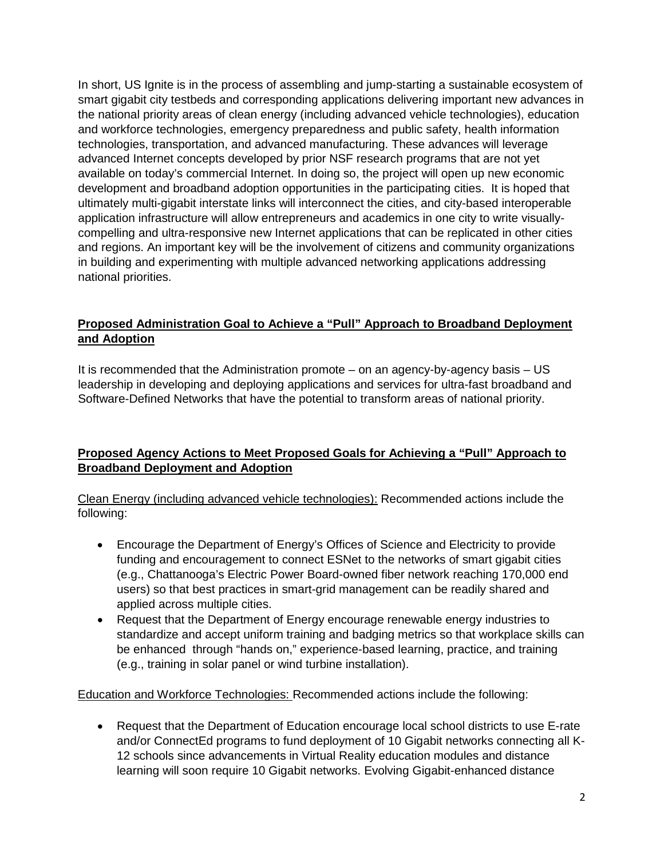In short, US Ignite is in the process of assembling and jump-starting a sustainable ecosystem of smart gigabit city testbeds and corresponding applications delivering important new advances in the national priority areas of clean energy (including advanced vehicle technologies), education and workforce technologies, emergency preparedness and public safety, health information technologies, transportation, and advanced manufacturing. These advances will leverage advanced Internet concepts developed by prior NSF research programs that are not yet available on today's commercial Internet. In doing so, the project will open up new economic development and broadband adoption opportunities in the participating cities. It is hoped that ultimately multi-gigabit interstate links will interconnect the cities, and city-based interoperable application infrastructure will allow entrepreneurs and academics in one city to write visuallycompelling and ultra-responsive new Internet applications that can be replicated in other cities and regions. An important key will be the involvement of citizens and community organizations in building and experimenting with multiple advanced networking applications addressing national priorities.

## **Proposed Administration Goal to Achieve a "Pull" Approach to Broadband Deployment and Adoption**

It is recommended that the Administration promote – on an agency-by-agency basis – US leadership in developing and deploying applications and services for ultra-fast broadband and Software-Defined Networks that have the potential to transform areas of national priority.

# **Proposed Agency Actions to Meet Proposed Goals for Achieving a "Pull" Approach to Broadband Deployment and Adoption**

Clean Energy (including advanced vehicle technologies): Recommended actions include the following:

- Encourage the Department of Energy's Offices of Science and Electricity to provide funding and encouragement to connect ESNet to the networks of smart gigabit cities (e.g., Chattanooga's Electric Power Board-owned fiber network reaching 170,000 end users) so that best practices in smart-grid management can be readily shared and applied across multiple cities.
- Request that the Department of Energy encourage renewable energy industries to standardize and accept uniform training and badging metrics so that workplace skills can be enhanced through "hands on," experience-based learning, practice, and training (e.g., training in solar panel or wind turbine installation).

Education and Workforce Technologies: Recommended actions include the following:

• Request that the Department of Education encourage local school districts to use E-rate and/or ConnectEd programs to fund deployment of 10 Gigabit networks connecting all K-12 schools since advancements in Virtual Reality education modules and distance learning will soon require 10 Gigabit networks. Evolving Gigabit-enhanced distance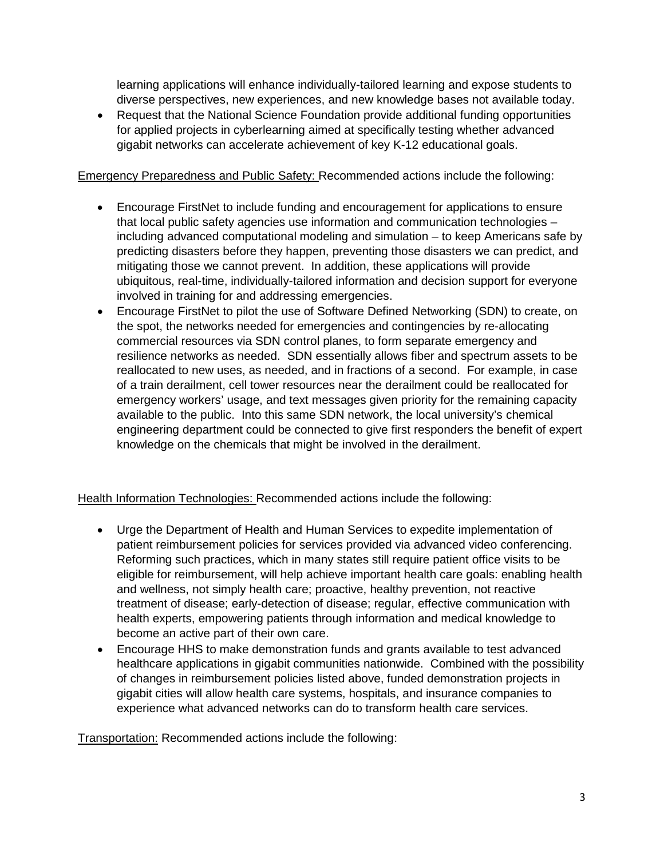learning applications will enhance individually-tailored learning and expose students to diverse perspectives, new experiences, and new knowledge bases not available today.

• Request that the National Science Foundation provide additional funding opportunities for applied projects in cyberlearning aimed at specifically testing whether advanced gigabit networks can accelerate achievement of key K-12 educational goals.

## Emergency Preparedness and Public Safety: Recommended actions include the following:

- Encourage FirstNet to include funding and encouragement for applications to ensure that local public safety agencies use information and communication technologies – including advanced computational modeling and simulation – to keep Americans safe by predicting disasters before they happen, preventing those disasters we can predict, and mitigating those we cannot prevent. In addition, these applications will provide ubiquitous, real-time, individually-tailored information and decision support for everyone involved in training for and addressing emergencies.
- Encourage FirstNet to pilot the use of Software Defined Networking (SDN) to create, on the spot, the networks needed for emergencies and contingencies by re-allocating commercial resources via SDN control planes, to form separate emergency and resilience networks as needed. SDN essentially allows fiber and spectrum assets to be reallocated to new uses, as needed, and in fractions of a second. For example, in case of a train derailment, cell tower resources near the derailment could be reallocated for emergency workers' usage, and text messages given priority for the remaining capacity available to the public. Into this same SDN network, the local university's chemical engineering department could be connected to give first responders the benefit of expert knowledge on the chemicals that might be involved in the derailment.

Health Information Technologies: Recommended actions include the following:

- Urge the Department of Health and Human Services to expedite implementation of patient reimbursement policies for services provided via advanced video conferencing. Reforming such practices, which in many states still require patient office visits to be eligible for reimbursement, will help achieve important health care goals: enabling health and wellness, not simply health care; proactive, healthy prevention, not reactive treatment of disease; early-detection of disease; regular, effective communication with health experts, empowering patients through information and medical knowledge to become an active part of their own care.
- Encourage HHS to make demonstration funds and grants available to test advanced healthcare applications in gigabit communities nationwide. Combined with the possibility of changes in reimbursement policies listed above, funded demonstration projects in gigabit cities will allow health care systems, hospitals, and insurance companies to experience what advanced networks can do to transform health care services.

Transportation: Recommended actions include the following: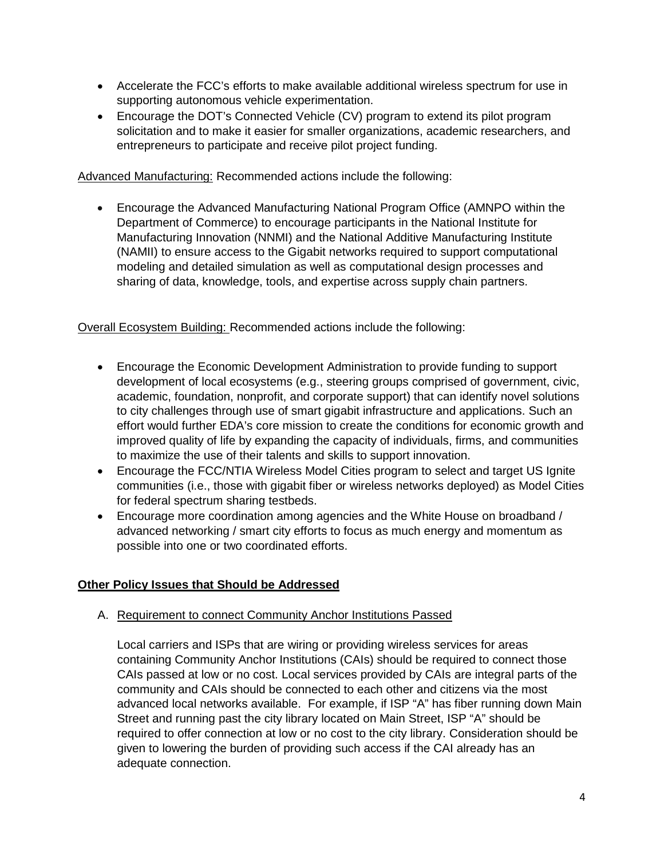- Accelerate the FCC's efforts to make available additional wireless spectrum for use in supporting autonomous vehicle experimentation.
- Encourage the DOT's Connected Vehicle (CV) program to extend its pilot program solicitation and to make it easier for smaller organizations, academic researchers, and entrepreneurs to participate and receive pilot project funding.

Advanced Manufacturing: Recommended actions include the following:

• Encourage the Advanced Manufacturing National Program Office (AMNPO within the Department of Commerce) to encourage participants in the National Institute for Manufacturing Innovation (NNMI) and the National Additive Manufacturing Institute (NAMII) to ensure access to the Gigabit networks required to support computational modeling and detailed simulation as well as computational design processes and sharing of data, knowledge, tools, and expertise across supply chain partners.

Overall Ecosystem Building: Recommended actions include the following:

- Encourage the Economic Development Administration to provide funding to support development of local ecosystems (e.g., steering groups comprised of government, civic, academic, foundation, nonprofit, and corporate support) that can identify novel solutions to city challenges through use of smart gigabit infrastructure and applications. Such an effort would further EDA's core mission to create the conditions for economic growth and improved quality of life by expanding the capacity of individuals, firms, and communities to maximize the use of their talents and skills to support innovation.
- Encourage the FCC/NTIA Wireless Model Cities program to select and target US Ignite communities (i.e., those with gigabit fiber or wireless networks deployed) as Model Cities for federal spectrum sharing testbeds.
- Encourage more coordination among agencies and the White House on broadband / advanced networking / smart city efforts to focus as much energy and momentum as possible into one or two coordinated efforts.

# **Other Policy Issues that Should be Addressed**

# A. Requirement to connect Community Anchor Institutions Passed

Local carriers and ISPs that are wiring or providing wireless services for areas containing Community Anchor Institutions (CAIs) should be required to connect those CAIs passed at low or no cost. Local services provided by CAIs are integral parts of the community and CAIs should be connected to each other and citizens via the most advanced local networks available. For example, if ISP "A" has fiber running down Main Street and running past the city library located on Main Street, ISP "A" should be required to offer connection at low or no cost to the city library. Consideration should be given to lowering the burden of providing such access if the CAI already has an adequate connection.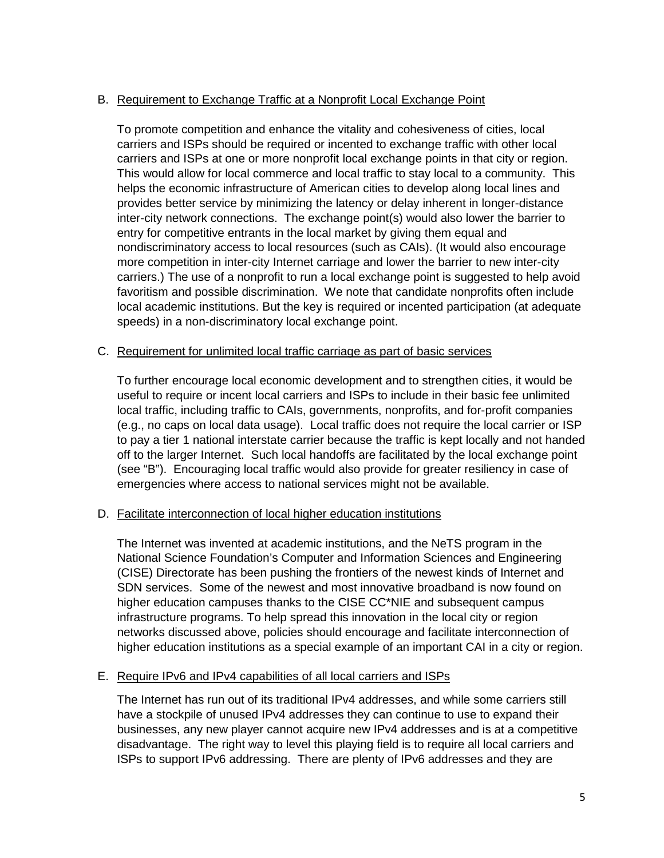## B. Requirement to Exchange Traffic at a Nonprofit Local Exchange Point

To promote competition and enhance the vitality and cohesiveness of cities, local carriers and ISPs should be required or incented to exchange traffic with other local carriers and ISPs at one or more nonprofit local exchange points in that city or region. This would allow for local commerce and local traffic to stay local to a community. This helps the economic infrastructure of American cities to develop along local lines and provides better service by minimizing the latency or delay inherent in longer-distance inter-city network connections. The exchange point(s) would also lower the barrier to entry for competitive entrants in the local market by giving them equal and nondiscriminatory access to local resources (such as CAIs). (It would also encourage more competition in inter-city Internet carriage and lower the barrier to new inter-city carriers.) The use of a nonprofit to run a local exchange point is suggested to help avoid favoritism and possible discrimination. We note that candidate nonprofits often include local academic institutions. But the key is required or incented participation (at adequate speeds) in a non-discriminatory local exchange point.

## C. Requirement for unlimited local traffic carriage as part of basic services

To further encourage local economic development and to strengthen cities, it would be useful to require or incent local carriers and ISPs to include in their basic fee unlimited local traffic, including traffic to CAIs, governments, nonprofits, and for-profit companies (e.g., no caps on local data usage). Local traffic does not require the local carrier or ISP to pay a tier 1 national interstate carrier because the traffic is kept locally and not handed off to the larger Internet. Such local handoffs are facilitated by the local exchange point (see "B"). Encouraging local traffic would also provide for greater resiliency in case of emergencies where access to national services might not be available.

## D. Facilitate interconnection of local higher education institutions

The Internet was invented at academic institutions, and the NeTS program in the National Science Foundation's Computer and Information Sciences and Engineering (CISE) Directorate has been pushing the frontiers of the newest kinds of Internet and SDN services. Some of the newest and most innovative broadband is now found on higher education campuses thanks to the CISE CC\*NIE and subsequent campus infrastructure programs. To help spread this innovation in the local city or region networks discussed above, policies should encourage and facilitate interconnection of higher education institutions as a special example of an important CAI in a city or region.

#### E. Require IPv6 and IPv4 capabilities of all local carriers and ISPs

The Internet has run out of its traditional IPv4 addresses, and while some carriers still have a stockpile of unused IPv4 addresses they can continue to use to expand their businesses, any new player cannot acquire new IPv4 addresses and is at a competitive disadvantage. The right way to level this playing field is to require all local carriers and ISPs to support IPv6 addressing. There are plenty of IPv6 addresses and they are